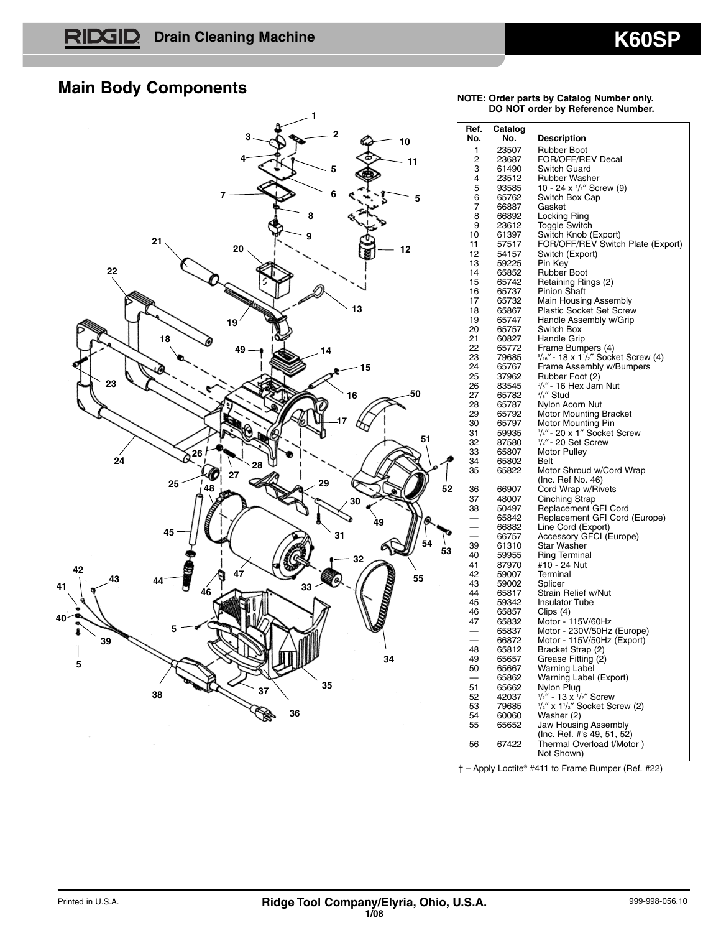# **Main Body Components**



#### **NOTE: Order parts by Catalog Number only. DO NOT order by Reference Number.**

| Ref.       | Catalog        |                                                                       |
|------------|----------------|-----------------------------------------------------------------------|
| <u>No.</u> | <u>No.</u>     | <u>Description</u>                                                    |
| 1          | 23507          | Rubber Boot                                                           |
| 2          | 23687          | FOR/OFF/REV Decal                                                     |
| 3          | 61490          | Switch Guard                                                          |
| 4          | 23512          | Rubber Washer<br>10 - 24 x 1/2" Screw (9)                             |
| 5<br>6     | 93585          |                                                                       |
| 7          | 65762<br>66887 | Switch Box Cap<br>Gasket                                              |
| 8          | 66892          |                                                                       |
| 9          | 23612          | Locking Ring<br>Toggle Switch                                         |
| 10         | 61397          | Switch Knob (Export)                                                  |
| 11         | 57517          | FOR/OFF/REV Switch Plate (Export)                                     |
| 12         | 54157          | Switch (Export)                                                       |
| 13         | 59225          | Pin Key                                                               |
| 14         | 65852          | <b>Rubber Boot</b>                                                    |
| 15         | 65742          | Retaining Rings (2)                                                   |
| 16         | 65737          | Pinion Shaft                                                          |
| 17         | 65732          | Main Housing Assembly                                                 |
| 18         | 65867          | <b>Plastic Socket Set Screw</b>                                       |
| 19         | 65747          | Handle Assembly w/Grip                                                |
| 20         | 65757          | Switch Box                                                            |
| 21         | 60827          | Handle Grip                                                           |
| 22<br>23   | 65772          | Frame Bumpers (4)<br>5/16" - 18 x 1 <sup>1</sup> /2" Socket Screw (4) |
| 24         | 79685<br>65767 | Frame Assembly w/Bumpers                                              |
| 25         | 37962          | Rubber Foot (2)                                                       |
| 26         | 83545          | %"- 16 Hex Jam Nut                                                    |
| 27         | 65782          | <sup>3</sup> /s" Stud                                                 |
| 28         | 65787          | Nylon Acorn Nut                                                       |
| 29         | 65792          | Motor Mounting Bracket                                                |
| 30         | 65797          | Motor Mounting Pin                                                    |
| 31         | 59935          | 1/4" - 20 x 1" Socket Screw                                           |
| 32         | 87580          | 1/2" - 20 Set Screw                                                   |
| 33         | 65807          | Motor Pulley                                                          |
| 34         | 65802          | Belt                                                                  |
| 35         | 65822          | Motor Shroud w/Cord Wrap                                              |
|            |                | (Inc. Ref No. 46)                                                     |
| 36<br>37   | 66907          | Cord Wrap w/Rivets                                                    |
| 38         | 48007<br>50497 | Cinching Strap<br>Replacement GFI Cord                                |
|            | 65842          | Replacement GFI Cord (Europe)                                         |
|            | 66882          | Line Cord (Export)                                                    |
|            | 66757          | Accessory GFCI (Europe)                                               |
| 39         | 61310          | <b>Star Washer</b>                                                    |
| 40         | 59955          | <b>Ring Terminal</b>                                                  |
| 41         | 87970          | #10 - 24 Nut                                                          |
| 42         | 59007          | Terminal                                                              |
| 43         | 59002          | Splicer                                                               |
| 44         | 65817          | Strain Relief w/Nut                                                   |
| 45         | 59342          | <b>Insulator Tube</b>                                                 |
| 46         | 65857          | Clips (4)                                                             |
| 47         | 65832<br>65837 | Motor - 115V/60Hz                                                     |
|            | 66872          | Motor - 230V/50Hz (Europe)<br>Motor - 115V/50Hz (Export)              |
| 48         | 65812          |                                                                       |
| 49         | 65657          | Bracket Strap (2)<br>Grease Fitting (2)                               |
| 50         | 65667          | Warning Label                                                         |
|            | 65862          | Warning Label (Export)                                                |
| 51         | 65662          | Nylon Plug                                                            |
| 52         | 42037          | $\frac{1}{2}$ " - 13 x $\frac{1}{2}$ " Screw                          |
| 53         | 79685          | 1/2" x 11/2" Socket Screw (2)                                         |
| 54         | 60060          | Washer (2)                                                            |
| 55         | 65652          | Jaw Housing Assembly                                                  |
|            |                | (Inc. Ref. #'s 49, 51, 52)                                            |
| 56         | 67422          | Thermal Overload f/Motor)                                             |
|            |                | Not Shown)                                                            |

† – Apply Loctite® #411 to Frame Bumper (Ref. #22)